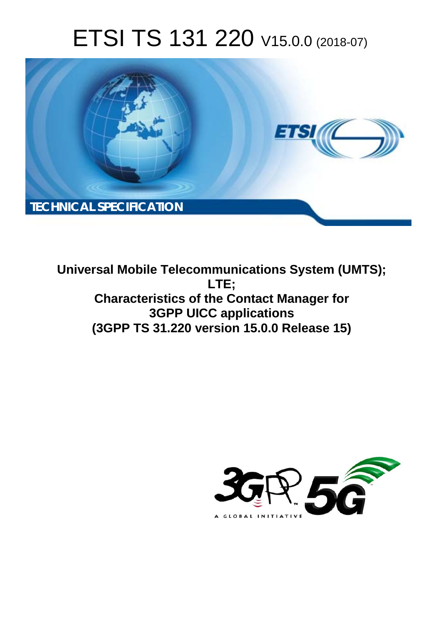# ETSI TS 131 220 V15.0.0 (2018-07)



**Universal Mobile Telecommunications System (UMTS); LTE; Characteristics of the Contact Manager for 3GPP UICC applications (3GPP TS 31.220 version 15.0.0 Release 15)** 

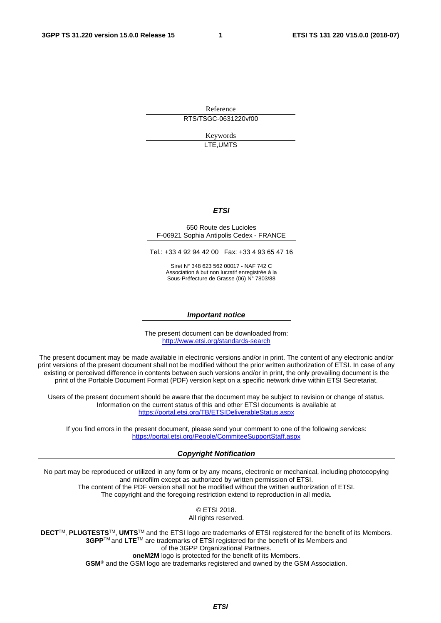Reference RTS/TSGC-0631220vf00

> Keywords LTE,UMTS

#### *ETSI*

#### 650 Route des Lucioles F-06921 Sophia Antipolis Cedex - FRANCE

Tel.: +33 4 92 94 42 00 Fax: +33 4 93 65 47 16

Siret N° 348 623 562 00017 - NAF 742 C Association à but non lucratif enregistrée à la Sous-Préfecture de Grasse (06) N° 7803/88

#### *Important notice*

The present document can be downloaded from: <http://www.etsi.org/standards-search>

The present document may be made available in electronic versions and/or in print. The content of any electronic and/or print versions of the present document shall not be modified without the prior written authorization of ETSI. In case of any existing or perceived difference in contents between such versions and/or in print, the only prevailing document is the print of the Portable Document Format (PDF) version kept on a specific network drive within ETSI Secretariat.

Users of the present document should be aware that the document may be subject to revision or change of status. Information on the current status of this and other ETSI documents is available at <https://portal.etsi.org/TB/ETSIDeliverableStatus.aspx>

If you find errors in the present document, please send your comment to one of the following services: <https://portal.etsi.org/People/CommiteeSupportStaff.aspx>

#### *Copyright Notification*

No part may be reproduced or utilized in any form or by any means, electronic or mechanical, including photocopying and microfilm except as authorized by written permission of ETSI. The content of the PDF version shall not be modified without the written authorization of ETSI. The copyright and the foregoing restriction extend to reproduction in all media.

> © ETSI 2018. All rights reserved.

**DECT**TM, **PLUGTESTS**TM, **UMTS**TM and the ETSI logo are trademarks of ETSI registered for the benefit of its Members. **3GPP**TM and **LTE**TM are trademarks of ETSI registered for the benefit of its Members and of the 3GPP Organizational Partners. **oneM2M** logo is protected for the benefit of its Members.

**GSM**® and the GSM logo are trademarks registered and owned by the GSM Association.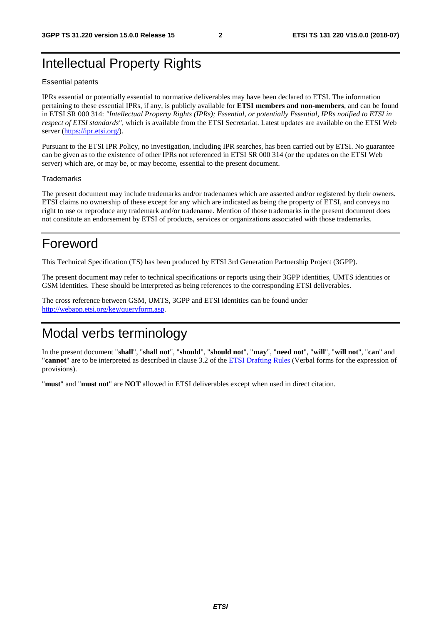### Intellectual Property Rights

#### Essential patents

IPRs essential or potentially essential to normative deliverables may have been declared to ETSI. The information pertaining to these essential IPRs, if any, is publicly available for **ETSI members and non-members**, and can be found in ETSI SR 000 314: *"Intellectual Property Rights (IPRs); Essential, or potentially Essential, IPRs notified to ETSI in respect of ETSI standards"*, which is available from the ETSI Secretariat. Latest updates are available on the ETSI Web server ([https://ipr.etsi.org/\)](https://ipr.etsi.org/).

Pursuant to the ETSI IPR Policy, no investigation, including IPR searches, has been carried out by ETSI. No guarantee can be given as to the existence of other IPRs not referenced in ETSI SR 000 314 (or the updates on the ETSI Web server) which are, or may be, or may become, essential to the present document.

#### **Trademarks**

The present document may include trademarks and/or tradenames which are asserted and/or registered by their owners. ETSI claims no ownership of these except for any which are indicated as being the property of ETSI, and conveys no right to use or reproduce any trademark and/or tradename. Mention of those trademarks in the present document does not constitute an endorsement by ETSI of products, services or organizations associated with those trademarks.

### Foreword

This Technical Specification (TS) has been produced by ETSI 3rd Generation Partnership Project (3GPP).

The present document may refer to technical specifications or reports using their 3GPP identities, UMTS identities or GSM identities. These should be interpreted as being references to the corresponding ETSI deliverables.

The cross reference between GSM, UMTS, 3GPP and ETSI identities can be found under [http://webapp.etsi.org/key/queryform.asp.](http://webapp.etsi.org/key/queryform.asp)

### Modal verbs terminology

In the present document "**shall**", "**shall not**", "**should**", "**should not**", "**may**", "**need not**", "**will**", "**will not**", "**can**" and "**cannot**" are to be interpreted as described in clause 3.2 of the [ETSI Drafting Rules](https://portal.etsi.org/Services/editHelp!/Howtostart/ETSIDraftingRules.aspx) (Verbal forms for the expression of provisions).

"**must**" and "**must not**" are **NOT** allowed in ETSI deliverables except when used in direct citation.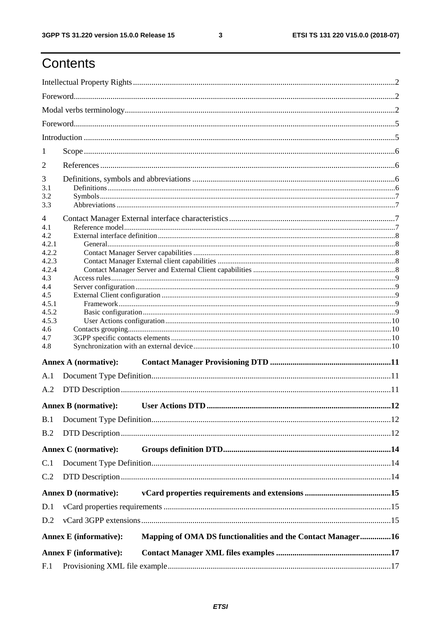# Contents

| 1          |                                                                                              |  |  |  |  |
|------------|----------------------------------------------------------------------------------------------|--|--|--|--|
| 2          |                                                                                              |  |  |  |  |
| 3          |                                                                                              |  |  |  |  |
| 3.1        |                                                                                              |  |  |  |  |
| 3.2<br>3.3 |                                                                                              |  |  |  |  |
|            |                                                                                              |  |  |  |  |
| 4          |                                                                                              |  |  |  |  |
| 4.1<br>4.2 |                                                                                              |  |  |  |  |
| 4.2.1      |                                                                                              |  |  |  |  |
| 4.2.2      |                                                                                              |  |  |  |  |
| 4.2.3      |                                                                                              |  |  |  |  |
| 4.2.4      |                                                                                              |  |  |  |  |
| 4.3        |                                                                                              |  |  |  |  |
| 4.4<br>4.5 |                                                                                              |  |  |  |  |
| 4.5.1      |                                                                                              |  |  |  |  |
| 4.5.2      |                                                                                              |  |  |  |  |
| 4.5.3      |                                                                                              |  |  |  |  |
| 4.6        |                                                                                              |  |  |  |  |
| 4.7        |                                                                                              |  |  |  |  |
| 4.8        |                                                                                              |  |  |  |  |
|            | <b>Annex A (normative):</b>                                                                  |  |  |  |  |
| A.1        |                                                                                              |  |  |  |  |
| A.2        |                                                                                              |  |  |  |  |
|            | <b>Annex B</b> (normative):                                                                  |  |  |  |  |
| B.1        |                                                                                              |  |  |  |  |
| B.2        |                                                                                              |  |  |  |  |
|            |                                                                                              |  |  |  |  |
|            | <b>Annex C</b> (normative):                                                                  |  |  |  |  |
| C.1        |                                                                                              |  |  |  |  |
| C.2        |                                                                                              |  |  |  |  |
|            | <b>Annex D</b> (normative):                                                                  |  |  |  |  |
| D.1        |                                                                                              |  |  |  |  |
| D.2        |                                                                                              |  |  |  |  |
|            | Mapping of OMA DS functionalities and the Contact Manager16<br><b>Annex E</b> (informative): |  |  |  |  |
|            |                                                                                              |  |  |  |  |
|            | <b>Annex F</b> (informative):                                                                |  |  |  |  |
| F.1        |                                                                                              |  |  |  |  |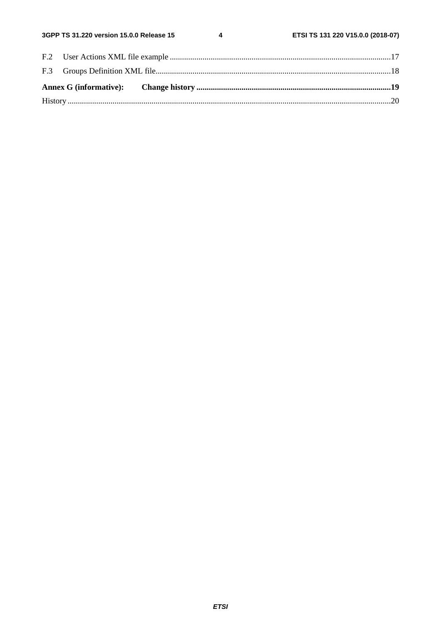$\overline{\mathbf{4}}$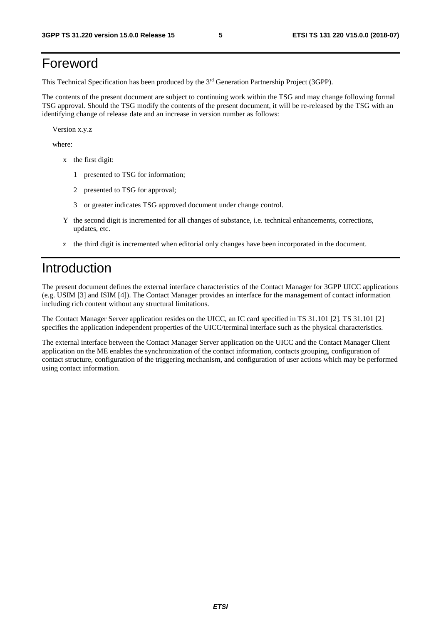### Foreword

This Technical Specification has been produced by the 3rd Generation Partnership Project (3GPP).

The contents of the present document are subject to continuing work within the TSG and may change following formal TSG approval. Should the TSG modify the contents of the present document, it will be re-released by the TSG with an identifying change of release date and an increase in version number as follows:

Version x.y.z

where:

- x the first digit:
	- 1 presented to TSG for information;
	- 2 presented to TSG for approval;
	- 3 or greater indicates TSG approved document under change control.
- Y the second digit is incremented for all changes of substance, i.e. technical enhancements, corrections, updates, etc.
- z the third digit is incremented when editorial only changes have been incorporated in the document.

### Introduction

The present document defines the external interface characteristics of the Contact Manager for 3GPP UICC applications (e.g. USIM [3] and ISIM [4]). The Contact Manager provides an interface for the management of contact information including rich content without any structural limitations.

The Contact Manager Server application resides on the UICC, an IC card specified in TS 31.101 [2]. TS 31.101 [2] specifies the application independent properties of the UICC/terminal interface such as the physical characteristics.

The external interface between the Contact Manager Server application on the UICC and the Contact Manager Client application on the ME enables the synchronization of the contact information, contacts grouping, configuration of contact structure, configuration of the triggering mechanism, and configuration of user actions which may be performed using contact information.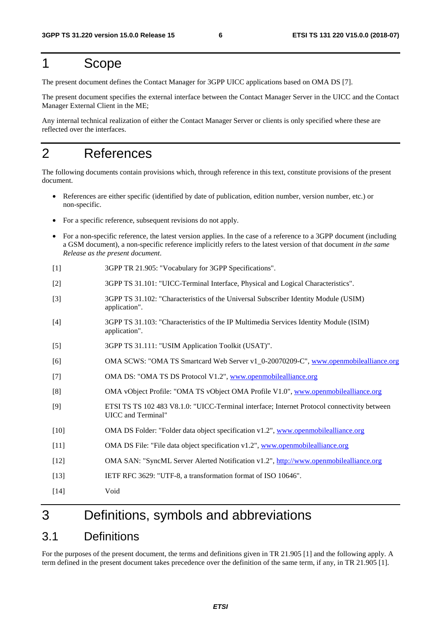### 1 Scope

The present document defines the Contact Manager for 3GPP UICC applications based on OMA DS [7].

The present document specifies the external interface between the Contact Manager Server in the UICC and the Contact Manager External Client in the ME;

Any internal technical realization of either the Contact Manager Server or clients is only specified where these are reflected over the interfaces.

### 2 References

The following documents contain provisions which, through reference in this text, constitute provisions of the present document.

- References are either specific (identified by date of publication, edition number, version number, etc.) or non-specific.
- For a specific reference, subsequent revisions do not apply.
- For a non-specific reference, the latest version applies. In the case of a reference to a 3GPP document (including a GSM document), a non-specific reference implicitly refers to the latest version of that document *in the same Release as the present document*.
- [1] 3GPP TR 21.905: "Vocabulary for 3GPP Specifications".
- [2] 3GPP TS 31.101: "UICC-Terminal Interface, Physical and Logical Characteristics".
- [3] 3GPP TS 31.102: "Characteristics of the Universal Subscriber Identity Module (USIM) application".
- [4] 3GPP TS 31.103: "Characteristics of the IP Multimedia Services Identity Module (ISIM) application".
- [5] 3GPP TS 31.111: "USIM Application Toolkit (USAT)".
- [6] OMA SCWS: "OMA TS Smartcard Web Server v1\_0-20070209-C", [www.openmobilealliance.org](http://www.openmobilealliance.org/)
- [7] OMA DS: "OMA TS DS Protocol V1.2", [www.openmobilealliance.org](http://www.openmobilealliance.org/)
- [8] OMA vObject Profile: "OMA TS vObject OMA Profile V1.0", [www.openmobilealliance.org](http://www.openmobilealliance.org/)
- [9] ETSI TS TS 102 483 V8.1.0: "UICC-Terminal interface; Internet Protocol connectivity between UICC and Terminal"
- [10] OMA DS Folder: "Folder data object specification v1.2", [www.openmobilealliance.org](http://www.openmobilealliance.org/)
- [11] OMA DS File: "File data object specification v1.2", [www.openmobilealliance.org](http://www.openmobilealliance.org/)
- [12] OMA SAN: "SyncML Server Alerted Notification v1.2", [http://www.openmobilealliance.org](http://www.openmobilealliance.org/)
- [13] IETF RFC 3629: "UTF-8, a transformation format of ISO 10646".
- [14] Void

### 3 Definitions, symbols and abbreviations

### 3.1 Definitions

For the purposes of the present document, the terms and definitions given in TR 21.905 [1] and the following apply. A term defined in the present document takes precedence over the definition of the same term, if any, in TR 21.905 [1].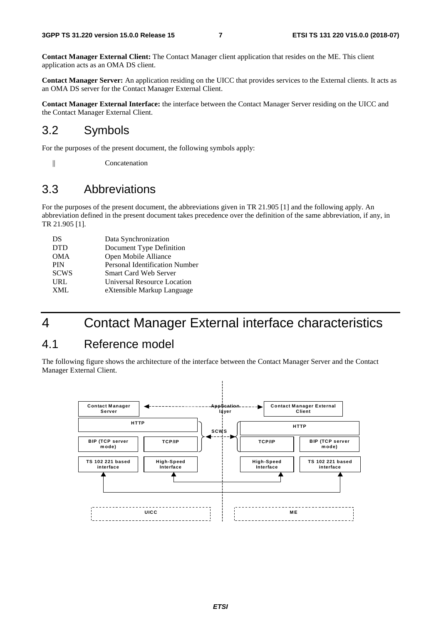**Contact Manager External Client:** The Contact Manager client application that resides on the ME. This client application acts as an OMA DS client.

**Contact Manager Server:** An application residing on the UICC that provides services to the External clients. It acts as an OMA DS server for the Contact Manager External Client.

**Contact Manager External Interface:** the interface between the Contact Manager Server residing on the UICC and the Contact Manager External Client.

### 3.2 Symbols

For the purposes of the present document, the following symbols apply:

|| Concatenation

#### 3.3 Abbreviations

For the purposes of the present document, the abbreviations given in TR 21.905 [1] and the following apply. An abbreviation defined in the present document takes precedence over the definition of the same abbreviation, if any, in TR 21.905 [1].

| DS          | Data Synchronization           |
|-------------|--------------------------------|
| <b>DTD</b>  | Document Type Definition       |
| <b>OMA</b>  | Open Mobile Alliance           |
| <b>PIN</b>  | Personal Identification Number |
| <b>SCWS</b> | <b>Smart Card Web Server</b>   |
| <b>URL</b>  | Universal Resource Location    |
| XML         | eXtensible Markup Language     |

### 4 Contact Manager External interface characteristics

### 4.1 Reference model

The following figure shows the architecture of the interface between the Contact Manager Server and the Contact Manager External Client.

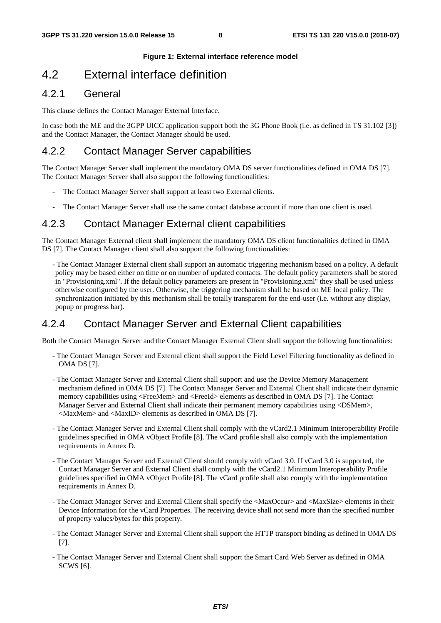#### **Figure 1: External interface reference model**

### 4.2 External interface definition

#### 4.2.1 General

This clause defines the Contact Manager External Interface.

In case both the ME and the 3GPP UICC application support both the 3G Phone Book (i.e. as defined in TS 31.102 [3]) and the Contact Manager, the Contact Manager should be used.

#### 4.2.2 Contact Manager Server capabilities

The Contact Manager Server shall implement the mandatory OMA DS server functionalities defined in OMA DS [7]. The Contact Manager Server shall also support the following functionalities:

- The Contact Manager Server shall support at least two External clients.
- The Contact Manager Server shall use the same contact database account if more than one client is used.

#### 4.2.3 Contact Manager External client capabilities

The Contact Manager External client shall implement the mandatory OMA DS client functionalities defined in OMA DS [7]. The Contact Manager client shall also support the following functionalities:

- The Contact Manager External client shall support an automatic triggering mechanism based on a policy. A default policy may be based either on time or on number of updated contacts. The default policy parameters shall be stored in "Provisioning.xml". If the default policy parameters are present in "Provisioning.xml" they shall be used unless otherwise configured by the user. Otherwise, the triggering mechanism shall be based on ME local policy. The synchronization initiated by this mechanism shall be totally transparent for the end-user (i.e. without any display, popup or progress bar).

#### 4.2.4 Contact Manager Server and External Client capabilities

Both the Contact Manager Server and the Contact Manager External Client shall support the following functionalities:

- The Contact Manager Server and External client shall support the Field Level Filtering functionality as defined in OMA DS [7].
- The Contact Manager Server and External Client shall support and use the Device Memory Management mechanism defined in OMA DS [7]. The Contact Manager Server and External Client shall indicate their dynamic memory capabilities using <FreeMem> and <FreeId> elements as described in OMA DS [7]. The Contact Manager Server and External Client shall indicate their permanent memory capabilities using <DSMem>, <MaxMem> and <MaxID> elements as described in OMA DS [7].
- The Contact Manager Server and External Client shall comply with the vCard2.1 Minimum Interoperability Profile guidelines specified in OMA vObject Profile [8]. The vCard profile shall also comply with the implementation requirements in Annex D.
- The Contact Manager Server and External Client should comply with vCard 3.0. If vCard 3.0 is supported, the Contact Manager Server and External Client shall comply with the vCard2.1 Minimum Interoperability Profile guidelines specified in OMA vObject Profile [8]. The vCard profile shall also comply with the implementation requirements in Annex D.
- The Contact Manager Server and External Client shall specify the <MaxOccur> and <MaxSize> elements in their Device Information for the vCard Properties. The receiving device shall not send more than the specified number of property values/bytes for this property.
- The Contact Manager Server and External Client shall support the HTTP transport binding as defined in OMA DS [7].
- The Contact Manager Server and External Client shall support the Smart Card Web Server as defined in OMA SCWS [6].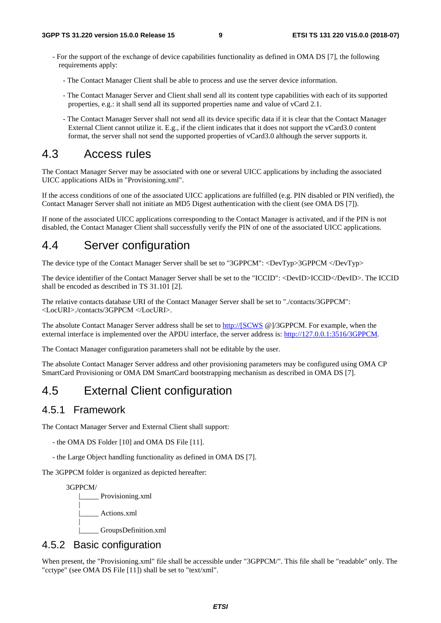- For the support of the exchange of device capabilities functionality as defined in OMA DS [7], the following requirements apply:
	- The Contact Manager Client shall be able to process and use the server device information.
	- The Contact Manager Server and Client shall send all its content type capabilities with each of its supported properties, e.g.: it shall send all its supported properties name and value of vCard 2.1.
	- The Contact Manager Server shall not send all its device specific data if it is clear that the Contact Manager External Client cannot utilize it. E.g., if the client indicates that it does not support the vCard3.0 content format, the server shall not send the supported properties of vCard3.0 although the server supports it.

### 4.3 Access rules

The Contact Manager Server may be associated with one or several UICC applications by including the associated UICC applications AIDs in "Provisioning.xml".

If the access conditions of one of the associated UICC applications are fulfilled (e.g. PIN disabled or PIN verified), the Contact Manager Server shall not initiate an MD5 Digest authentication with the client (see OMA DS [7]).

If none of the associated UICC applications corresponding to the Contact Manager is activated, and if the PIN is not disabled, the Contact Manager Client shall successfully verify the PIN of one of the associated UICC applications.

### 4.4 Server configuration

The device type of the Contact Manager Server shall be set to "3GPPCM": <DevTyp>3GPPCM </DevTyp>

The device identifier of the Contact Manager Server shall be set to the "ICCID": <DevID>ICCID</DevID>. The ICCID shall be encoded as described in TS 31.101 [2].

The relative contacts database URI of the Contact Manager Server shall be set to "./contacts/3GPPCM": <LocURI>./contacts/3GPPCM </LocURI>.

The absolute Contact Manager Server address shall be set to [http://\[SCWS](http://[scws/) @]/3GPPCM. For example, when the external interface is implemented over the APDU interface, the server address is: [http://127.0.0.1:3516/3GPPCM.](http://127.0.0.1:3516/3GPPCM)

The Contact Manager configuration parameters shall not be editable by the user.

The absolute Contact Manager Server address and other provisioning parameters may be configured using OMA CP SmartCard Provisioning or OMA DM SmartCard bootstrapping mechanism as described in OMA DS [7].

### 4.5 External Client configuration

#### 4.5.1 Framework

The Contact Manager Server and External Client shall support:

- the OMA DS Folder [10] and OMA DS File [11].
- the Large Object handling functionality as defined in OMA DS [7].

The 3GPPCM folder is organized as depicted hereafter:

 3GPPCM/ |\_\_\_\_\_ Provisioning.xml | |\_\_\_\_\_ Actions.xml | |\_\_\_\_\_ GroupsDefinition.xml

### 4.5.2 Basic configuration

When present, the "Provisioning.xml" file shall be accessible under "3GPPCM/". This file shall be "readable" only. The "cctype" (see OMA DS File [11]) shall be set to "text/xml".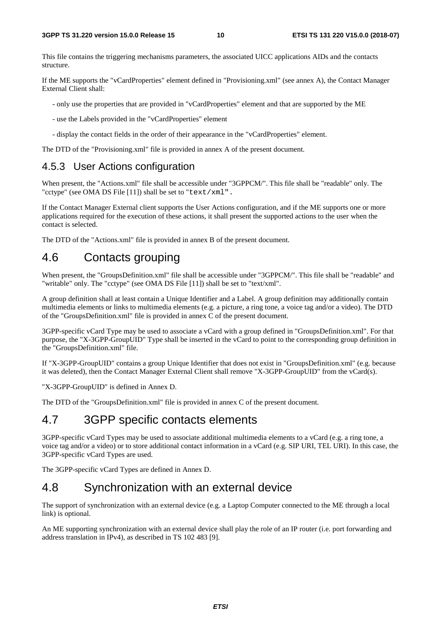This file contains the triggering mechanisms parameters, the associated UICC applications AIDs and the contacts structure.

If the ME supports the "vCardProperties" element defined in "Provisioning.xml" (see annex A), the Contact Manager External Client shall:

- only use the properties that are provided in "vCardProperties" element and that are supported by the ME

- use the Labels provided in the "vCardProperties" element
- display the contact fields in the order of their appearance in the "vCardProperties" element.

The DTD of the "Provisioning.xml" file is provided in annex A of the present document.

#### 4.5.3 User Actions configuration

When present, the "Actions.xml" file shall be accessible under "3GPPCM/". This file shall be "readable" only. The "cctype" (see OMA DS File [11]) shall be set to "text/xml".

If the Contact Manager External client supports the User Actions configuration, and if the ME supports one or more applications required for the execution of these actions, it shall present the supported actions to the user when the contact is selected.

The DTD of the "Actions.xml" file is provided in annex B of the present document.

### 4.6 Contacts grouping

When present, the "GroupsDefinition.xml" file shall be accessible under "3GPPCM/". This file shall be "readable" and "writable" only. The "cctype" (see OMA DS File [11]) shall be set to "text/xml".

A group definition shall at least contain a Unique Identifier and a Label. A group definition may additionally contain multimedia elements or links to multimedia elements (e.g. a picture, a ring tone, a voice tag and/or a video). The DTD of the "GroupsDefinition.xml" file is provided in annex C of the present document.

3GPP-specific vCard Type may be used to associate a vCard with a group defined in "GroupsDefinition.xml". For that purpose, the "X-3GPP-GroupUID" Type shall be inserted in the vCard to point to the corresponding group definition in the "GroupsDefinition.xml" file.

If "X-3GPP-GroupUID" contains a group Unique Identifier that does not exist in "GroupsDefinition.xml" (e.g. because it was deleted), then the Contact Manager External Client shall remove "X-3GPP-GroupUID" from the vCard(s).

"X-3GPP-GroupUID" is defined in Annex D.

The DTD of the "GroupsDefinition.xml" file is provided in annex C of the present document.

### 4.7 3GPP specific contacts elements

3GPP-specific vCard Types may be used to associate additional multimedia elements to a vCard (e.g. a ring tone, a voice tag and/or a video) or to store additional contact information in a vCard (e.g. SIP URI, TEL URI). In this case, the 3GPP-specific vCard Types are used.

The 3GPP-specific vCard Types are defined in Annex D.

### 4.8 Synchronization with an external device

The support of synchronization with an external device (e.g. a Laptop Computer connected to the ME through a local link) is optional.

An ME supporting synchronization with an external device shall play the role of an IP router (i.e. port forwarding and address translation in IPv4), as described in TS 102 483 [9].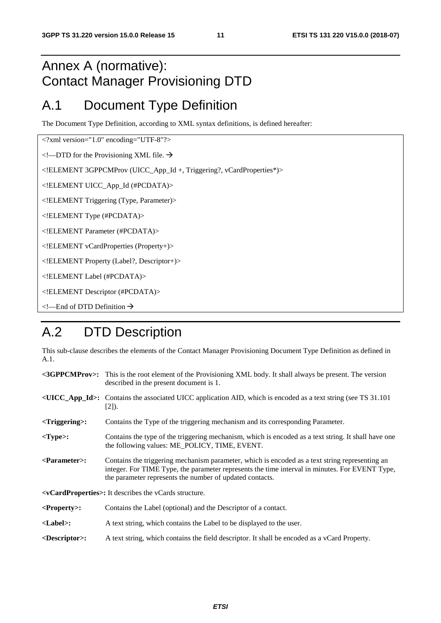### Annex A (normative): Contact Manager Provisioning DTD

### A.1 Document Type Definition

The Document Type Definition, according to XML syntax definitions, is defined hereafter:

<?xml version="1.0" encoding="UTF-8"?>

 $\leq$ !---DTD for the Provisioning XML file.  $\rightarrow$ 

<!ELEMENT 3GPPCMProv (UICC\_App\_Id +, Triggering?, vCardProperties\*)>

<!ELEMENT UICC\_App\_Id (#PCDATA)>

<!ELEMENT Triggering (Type, Parameter)>

<!ELEMENT Type (#PCDATA)>

<!ELEMENT Parameter (#PCDATA)>

<!ELEMENT vCardProperties (Property+)>

<!ELEMENT Property (Label?, Descriptor+)>

<!ELEMENT Label (#PCDATA)>

<!ELEMENT Descriptor (#PCDATA)>

 $\leq$  -End of DTD Definition  $\rightarrow$ 

### A.2 DTD Description

This sub-clause describes the elements of the Contact Manager Provisioning Document Type Definition as defined in A.1.

|                                                                                | <3GPPCMProv>: This is the root element of the Provisioning XML body. It shall always be present. The version<br>described in the present document is 1.                                                                                                      |  |  |  |  |
|--------------------------------------------------------------------------------|--------------------------------------------------------------------------------------------------------------------------------------------------------------------------------------------------------------------------------------------------------------|--|--|--|--|
|                                                                                | $\langle$ UICC_App_Id>: Contains the associated UICC application AID, which is encoded as a text string (see TS 31.101)<br>$[2]$ ).                                                                                                                          |  |  |  |  |
| $\langle$ Triggering $\rangle$ :                                               | Contains the Type of the triggering mechanism and its corresponding Parameter.                                                                                                                                                                               |  |  |  |  |
| $<$ Type>:                                                                     | Contains the type of the triggering mechanism, which is encoded as a text string. It shall have one<br>the following values: ME POLICY, TIME, EVENT.                                                                                                         |  |  |  |  |
| $\langle$ Parameter $>$ :                                                      | Contains the triggering mechanism parameter, which is encoded as a text string representing an<br>integer. For TIME Type, the parameter represents the time interval in minutes. For EVENT Type,<br>the parameter represents the number of updated contacts. |  |  |  |  |
| <b><vcardproperties>:</vcardproperties></b> It describes the vCards structure. |                                                                                                                                                                                                                                                              |  |  |  |  |

**<Property>:** Contains the Label (optional) and the Descriptor of a contact.

- **<Label>:** A text string, which contains the Label to be displayed to the user.
- **<Descriptor>:** A text string, which contains the field descriptor. It shall be encoded as a vCard Property.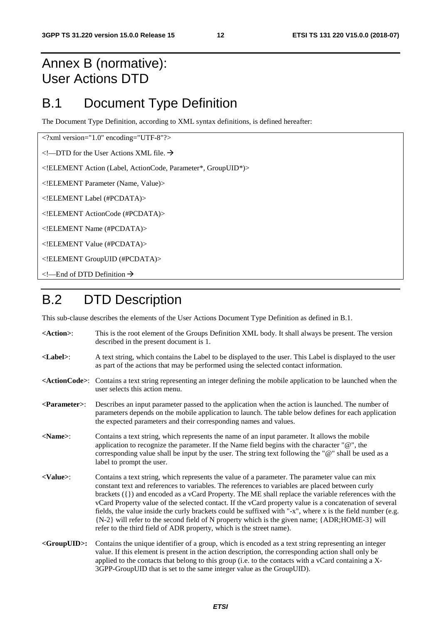### Annex B (normative): User Actions DTD

### B.1 Document Type Definition

The Document Type Definition, according to XML syntax definitions, is defined hereafter:

<?xml version="1.0" encoding="UTF-8"?>

 $\leq$ !—DTD for the User Actions XML file.  $\rightarrow$ 

<!ELEMENT Action (Label, ActionCode, Parameter\*, GroupUID\*)>

<!ELEMENT Parameter (Name, Value)>

<!ELEMENT Label (#PCDATA)>

<!ELEMENT ActionCode (#PCDATA)>

<!ELEMENT Name (#PCDATA)>

<!ELEMENT Value (#PCDATA)>

<!ELEMENT GroupUID (#PCDATA)>

 $\leq$  – End of DTD Definition  $\rightarrow$ 

### B.2 DTD Description

This sub-clause describes the elements of the User Actions Document Type Definition as defined in B.1.

**<Action>**: This is the root element of the Groups Definition XML body. It shall always be present. The version described in the present document is 1. **<Label>**: A text string, which contains the Label to be displayed to the user. This Label is displayed to the user as part of the actions that may be performed using the selected contact information. **<ActionCode>**: Contains a text string representing an integer defining the mobile application to be launched when the user selects this action menu. **<Parameter>**: Describes an input parameter passed to the application when the action is launched. The number of parameters depends on the mobile application to launch. The table below defines for each application the expected parameters and their corresponding names and values. **<Name>**: Contains a text string, which represents the name of an input parameter. It allows the mobile application to recognize the parameter. If the Name field begins with the character "@", the corresponding value shall be input by the user. The string text following the "@" shall be used as a label to prompt the user. **<Value>**: Contains a text string, which represents the value of a parameter. The parameter value can mix constant text and references to variables. The references to variables are placed between curly brackets ({}) and encoded as a vCard Property. The ME shall replace the variable references with the vCard Property value of the selected contact. If the vCard property value is a concatenation of several fields, the value inside the curly brackets could be suffixed with "-x", where x is the field number (e.g. {N-2} will refer to the second field of N property which is the given name; {ADR;HOME-3} will refer to the third field of ADR property, which is the street name). **<GroupUID>:** Contains the unique identifier of a group, which is encoded as a text string representing an integer value. If this element is present in the action description, the corresponding action shall only be applied to the contacts that belong to this group (i.e. to the contacts with a vCard containing a X-3GPP-GroupUID that is set to the same integer value as the GroupUID).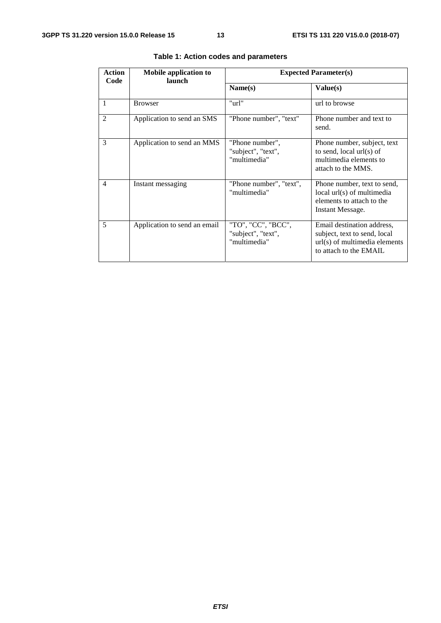| Action<br>Code           | Mobile application to<br><b>launch</b> | <b>Expected Parameter(s)</b>                             |                                                                                                                         |  |  |
|--------------------------|----------------------------------------|----------------------------------------------------------|-------------------------------------------------------------------------------------------------------------------------|--|--|
|                          |                                        | Name(s)                                                  | Value(s)                                                                                                                |  |  |
|                          | <b>Browser</b>                         | "url"                                                    | url to browse                                                                                                           |  |  |
| $\mathcal{L}$            | Application to send an SMS             | "Phone number", "text"                                   | Phone number and text to<br>send.                                                                                       |  |  |
| 3                        | Application to send an MMS             | "Phone number",<br>"subject", "text",<br>"multimedia"    | Phone number, subject, text<br>to send, local $url(s)$ of<br>multimedia elements to<br>attach to the MMS.               |  |  |
| $\overline{\mathcal{A}}$ | Instant messaging                      | "Phone number", "text",<br>"multimedia"                  | Phone number, text to send,<br>local url(s) of multimedia<br>elements to attach to the<br>Instant Message.              |  |  |
| 5                        | Application to send an email           | "TO", "CC", "BCC",<br>"subject", "text",<br>"multimedia" | Email destination address,<br>subject, text to send, local<br>$url(s)$ of multimedia elements<br>to attach to the EMAIL |  |  |

#### **Table 1: Action codes and parameters**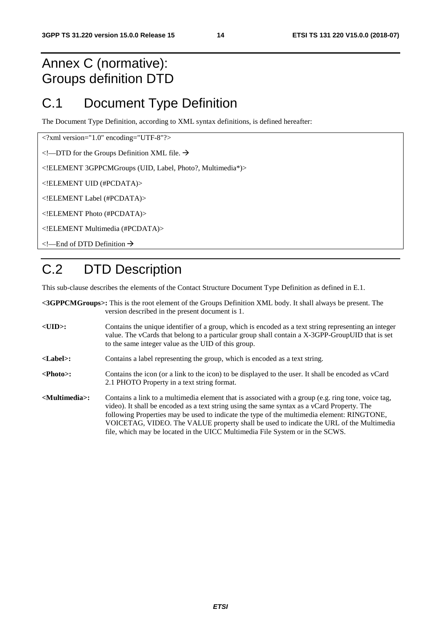### Annex C (normative): Groups definition DTD

### C.1 Document Type Definition

The Document Type Definition, according to XML syntax definitions, is defined hereafter:

<?xml version="1.0" encoding="UTF-8"?>

 $\leq$ !—DTD for the Groups Definition XML file.  $\rightarrow$ 

<!ELEMENT 3GPPCMGroups (UID, Label, Photo?, Multimedia\*)>

<!ELEMENT UID (#PCDATA)>

<!ELEMENT Label (#PCDATA)>

<!ELEMENT Photo (#PCDATA)>

<!ELEMENT Multimedia (#PCDATA)>

<!—End of DTD Definition

# C.2 DTD Description

This sub-clause describes the elements of the Contact Structure Document Type Definition as defined in E.1.

|                                 | <3GPPCMGroups>: This is the root element of the Groups Definition XML body. It shall always be present. The<br>version described in the present document is 1.                                                                                                                                                                                                                                                                                                               |
|---------------------------------|------------------------------------------------------------------------------------------------------------------------------------------------------------------------------------------------------------------------------------------------------------------------------------------------------------------------------------------------------------------------------------------------------------------------------------------------------------------------------|
| $<$ UID $>$ :                   | Contains the unique identifier of a group, which is encoded as a text string representing an integer<br>value. The vCards that belong to a particular group shall contain a X-3GPP-GroupUID that is set<br>to the same integer value as the UID of this group.                                                                                                                                                                                                               |
| $<$ Label $>$ :                 | Contains a label representing the group, which is encoded as a text string.                                                                                                                                                                                                                                                                                                                                                                                                  |
| $\langle \text{Photo}\rangle$ : | Contains the icon (or a link to the icon) to be displayed to the user. It shall be encoded as vCard<br>2.1 PHOTO Property in a text string format.                                                                                                                                                                                                                                                                                                                           |
| <multimedia>:</multimedia>      | Contains a link to a multimedia element that is associated with a group (e.g. ring tone, voice tag,<br>video). It shall be encoded as a text string using the same syntax as a vCard Property. The<br>following Properties may be used to indicate the type of the multimedia element: RINGTONE,<br>VOICETAG, VIDEO. The VALUE property shall be used to indicate the URL of the Multimedia<br>file, which may be located in the UICC Multimedia File System or in the SCWS. |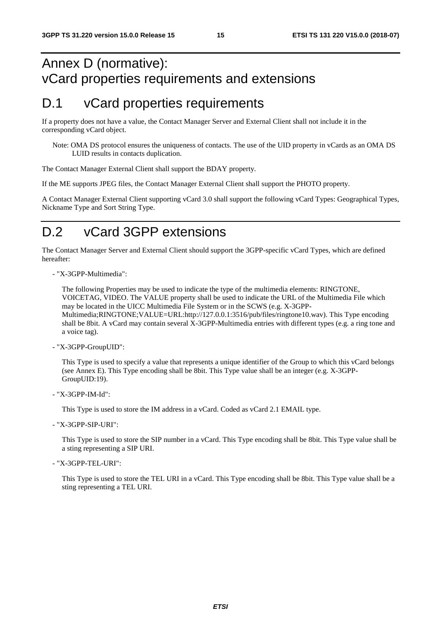### Annex D (normative): vCard properties requirements and extensions

### D.1 vCard properties requirements

If a property does not have a value, the Contact Manager Server and External Client shall not include it in the corresponding vCard object.

Note: OMA DS protocol ensures the uniqueness of contacts. The use of the UID property in vCards as an OMA DS LUID results in contacts duplication.

The Contact Manager External Client shall support the BDAY property.

If the ME supports JPEG files, the Contact Manager External Client shall support the PHOTO property.

A Contact Manager External Client supporting vCard 3.0 shall support the following vCard Types: Geographical Types, Nickname Type and Sort String Type.

### D.2 vCard 3GPP extensions

The Contact Manager Server and External Client should support the 3GPP-specific vCard Types, which are defined hereafter:

- "X-3GPP-Multimedia":

The following Properties may be used to indicate the type of the multimedia elements: RINGTONE, VOICETAG, VIDEO. The VALUE property shall be used to indicate the URL of the Multimedia File which may be located in the UICC Multimedia File System or in the SCWS (e.g. X-3GPP-Multimedia;RINGTONE;VALUE=URL:http://127.0.0.1:3516/pub/files/ringtone10.wav). This Type encoding shall be 8bit. A vCard may contain several X-3GPP-Multimedia entries with different types (e.g. a ring tone and a voice tag).

- "X-3GPP-GroupUID":

This Type is used to specify a value that represents a unique identifier of the Group to which this vCard belongs (see Annex E). This Type encoding shall be 8bit. This Type value shall be an integer (e.g. X-3GPP-GroupUID:19).

- "X-3GPP-IM-Id":

This Type is used to store the IM address in a vCard. Coded as vCard 2.1 EMAIL type.

- "X-3GPP-SIP-URI":

This Type is used to store the SIP number in a vCard. This Type encoding shall be 8bit. This Type value shall be a sting representing a SIP URI.

- "X-3GPP-TEL-URI":

This Type is used to store the TEL URI in a vCard. This Type encoding shall be 8bit. This Type value shall be a sting representing a TEL URI.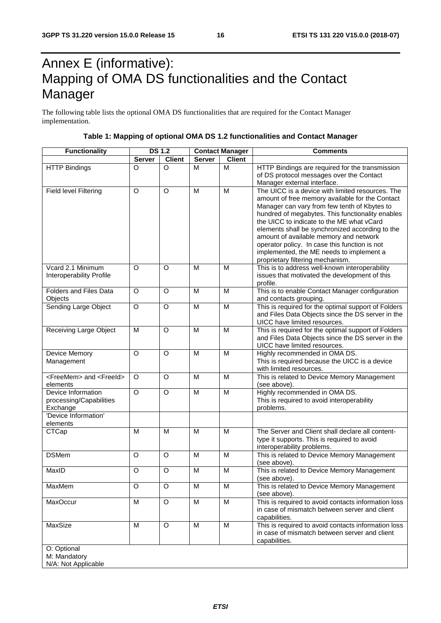# Annex E (informative): Mapping of OMA DS functionalities and the Contact Manager

The following table lists the optional OMA DS functionalities that are required for the Contact Manager implementation.

|  | Table 1: Mapping of optional OMA DS 1.2 functionalities and Contact Manager |
|--|-----------------------------------------------------------------------------|
|  |                                                                             |

| <b>Functionality</b>                      | <b>DS 1.2</b> |               | <b>Contact Manager</b> |                         | <b>Comments</b>                                                                    |  |  |
|-------------------------------------------|---------------|---------------|------------------------|-------------------------|------------------------------------------------------------------------------------|--|--|
|                                           | <b>Server</b> | <b>Client</b> | <b>Server</b>          | <b>Client</b>           |                                                                                    |  |  |
| <b>HTTP Bindings</b>                      | O             | $\circ$       | M                      | M                       | HTTP Bindings are required for the transmission                                    |  |  |
|                                           |               |               |                        |                         | of DS protocol messages over the Contact                                           |  |  |
|                                           |               |               |                        |                         | Manager external interface.                                                        |  |  |
| <b>Field level Filtering</b>              | O             | $\circ$       | M                      | M                       | The UICC is a device with limited resources. The                                   |  |  |
|                                           |               |               |                        |                         | amount of free memory available for the Contact                                    |  |  |
|                                           |               |               |                        |                         | Manager can vary from few tenth of Kbytes to                                       |  |  |
|                                           |               |               |                        |                         | hundred of megabytes. This functionality enables                                   |  |  |
|                                           |               |               |                        |                         | the UICC to indicate to the ME what vCard                                          |  |  |
|                                           |               |               |                        |                         | elements shall be synchronized according to the                                    |  |  |
|                                           |               |               |                        |                         | amount of available memory and network                                             |  |  |
|                                           |               |               |                        |                         | operator policy. In case this function is not                                      |  |  |
|                                           |               |               |                        |                         | implemented, the ME needs to implement a                                           |  |  |
| Vcard 2.1 Minimum                         | O             | O             | M                      | M                       | proprietary filtering mechanism.<br>This is to address well-known interoperability |  |  |
| Interoperability Profile                  |               |               |                        |                         | issues that motivated the development of this                                      |  |  |
|                                           |               |               |                        |                         | profile.                                                                           |  |  |
| Folders and Files Data                    | O             | $\circ$       | M                      | M                       | This is to enable Contact Manager configuration                                    |  |  |
| Objects                                   |               |               |                        |                         | and contacts grouping.                                                             |  |  |
| Sending Large Object                      | O             | O             | M                      | M                       | This is required for the optimal support of Folders                                |  |  |
|                                           |               |               |                        |                         | and Files Data Objects since the DS server in the                                  |  |  |
|                                           |               |               |                        |                         | UICC have limited resources.                                                       |  |  |
| Receiving Large Object                    | M             | $\circ$       | M                      | M                       | This is required for the optimal support of Folders                                |  |  |
|                                           |               |               |                        |                         | and Files Data Objects since the DS server in the                                  |  |  |
|                                           |               |               |                        |                         | UICC have limited resources.                                                       |  |  |
| Device Memory                             | $\circ$       | $\circ$       | M                      | M                       | Highly recommended in OMA DS.                                                      |  |  |
| Management                                |               |               |                        |                         | This is required because the UICC is a device                                      |  |  |
|                                           |               |               |                        |                         | with limited resources.                                                            |  |  |
| <freemem> and <freeid></freeid></freemem> | O             | O             | M                      | M                       | This is related to Device Memory Management                                        |  |  |
| elements                                  |               |               |                        |                         | (see above).                                                                       |  |  |
| Device Information                        | $\Omega$      | O             | M                      | M                       | Highly recommended in OMA DS.                                                      |  |  |
| processing/Capabilities                   |               |               |                        |                         | This is required to avoid interoperability                                         |  |  |
| Exchange                                  |               |               |                        |                         | problems.                                                                          |  |  |
| 'Device Information'                      |               |               |                        |                         |                                                                                    |  |  |
| elements                                  |               |               |                        |                         |                                                                                    |  |  |
| <b>CTCap</b>                              | M             | M             | M                      | M                       | The Server and Client shall declare all content-                                   |  |  |
|                                           |               |               |                        |                         | type it supports. This is required to avoid                                        |  |  |
| <b>DSMem</b>                              | O             | $\Omega$      | M                      | M                       | interoperability problems.<br>This is related to Device Memory Management          |  |  |
|                                           |               |               |                        |                         | (see above).                                                                       |  |  |
| MaxID                                     | O             | O             | M                      | M                       | This is related to Device Memory Management                                        |  |  |
|                                           |               |               |                        |                         | (see above).                                                                       |  |  |
| MaxMem                                    | O             | O             | M                      | M                       | This is related to Device Memory Management                                        |  |  |
|                                           |               |               |                        |                         | (see above).                                                                       |  |  |
| MaxOccur                                  | M             | $\mathsf O$   | M                      | $\overline{\mathsf{M}}$ | This is required to avoid contacts information loss                                |  |  |
|                                           |               |               |                        |                         | in case of mismatch between server and client                                      |  |  |
|                                           |               |               |                        |                         | capabilities.                                                                      |  |  |
| MaxSize                                   | M             | O             | M                      | M                       | This is required to avoid contacts information loss                                |  |  |
|                                           |               |               |                        |                         | in case of mismatch between server and client                                      |  |  |
|                                           |               |               |                        |                         | capabilities.                                                                      |  |  |
| O: Optional                               |               |               |                        |                         |                                                                                    |  |  |
| M: Mandatory                              |               |               |                        |                         |                                                                                    |  |  |
| N/A: Not Applicable                       |               |               |                        |                         |                                                                                    |  |  |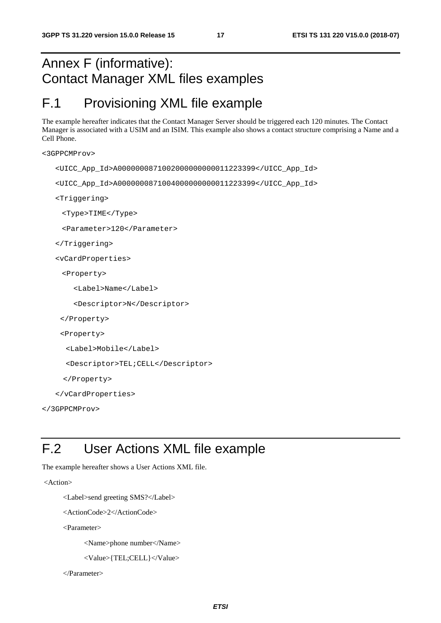### Annex F (informative): Contact Manager XML files examples

### F.1 Provisioning XML file example

The example hereafter indicates that the Contact Manager Server should be triggered each 120 minutes. The Contact Manager is associated with a USIM and an ISIM. This example also shows a contact structure comprising a Name and a Cell Phone.

```
<3GPPCMProv>
```

```
<UICC_App_Id>A0000000871002000000000011223399</UICC_App_Id>
```

```
<UICC_App_Id>A0000000871004000000000011223399</UICC_App_Id>
```
<Triggering>

<Type>TIME</Type>

<Parameter>120</Parameter>

```
</Triggering>
```
<vCardProperties>

<Property>

```
<Label>Name</Label>
```
<Descriptor>N</Descriptor>

```
</Property>
```

```
<Property>
```
<Label>Mobile</Label>

```
<Descriptor>TEL;CELL</Descriptor>
```
</Property>

```
</vCardProperties>
```

```
</3GPPCMProv>
```
## F.2 User Actions XML file example

The example hereafter shows a User Actions XML file.

<Action>

```
 <Label>send greeting SMS?</Label>
```

```
 <ActionCode>2</ActionCode>
```
<Parameter>

<Name>phone number</Name>

```
 <Value>{TEL;CELL}</Value>
```
</Parameter>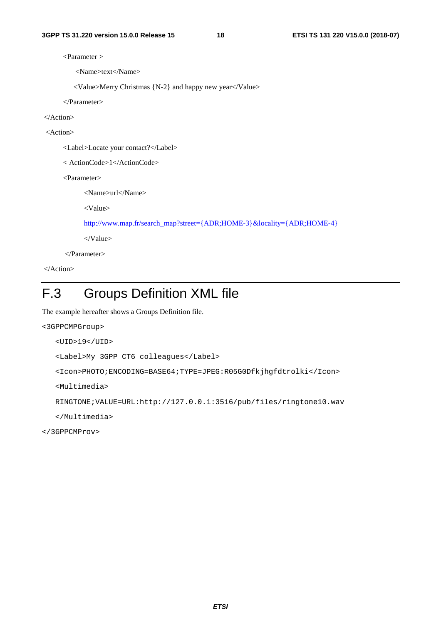<Parameter >

<Name>text</Name>

<Value>Merry Christmas {N-2} and happy new year</Value>

</Parameter>

</Action>

<Action>

<Label>Locate your contact?</Label>

< ActionCode>1</ActionCode>

<Parameter>

<Name>url</Name>

<Value>

[http://www.map.fr/search\\_map?street={ADR;HOME-3}&locality={ADR;HOME-4}](http://www.map.fr/search_map?street=%7bADR;HOME-3%7d&locality=%7bADR;HOME-4%7d)

</Value>

</Parameter>

</Action>

# F.3 Groups Definition XML file

The example hereafter shows a Groups Definition file.

```
<3GPPCMPGroup> 
 <UID>19</UID> 
 <Label>My 3GPP CT6 colleagues</Label> 
 <Icon>PHOTO;ENCODING=BASE64;TYPE=JPEG:R05G0Dfkjhgfdtrolki</Icon> 
 <Multimedia> 
RINGTONE;VALUE=URL:http://127.0.0.1:3516/pub/files/ringtone10.wav
```
</Multimedia>

</3GPPCMProv>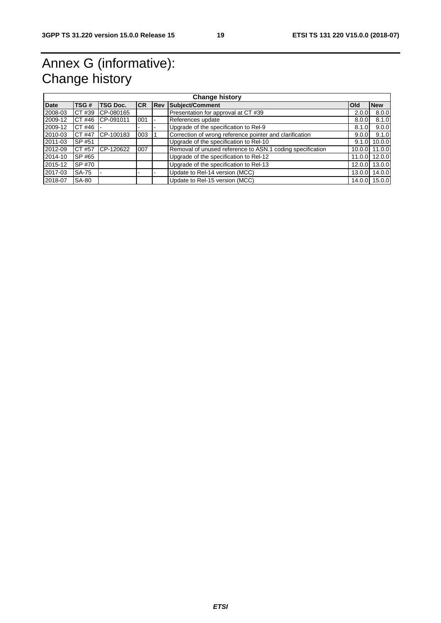# Annex G (informative): Change history

| <b>Change history</b> |                                                                                      |                  |     |  |                                                           |        |               |
|-----------------------|--------------------------------------------------------------------------------------|------------------|-----|--|-----------------------------------------------------------|--------|---------------|
| Date                  | <b>CR</b><br>TSG#<br><b>TSG Doc.</b><br>Subject/Comment<br><b>IRev</b><br><b>Old</b> |                  |     |  |                                                           |        | <b>New</b>    |
| 2008-03               | CT #39                                                                               | ICP-080165       |     |  | Presentation for approval at CT #39                       | 2.0.0  | 8.0.0         |
| 2009-12               |                                                                                      | CT#46 ICP-091011 | 001 |  | References update                                         | 8.0.0  | 8.1.0         |
| 2009-12               | CT#46 $\vert$                                                                        |                  |     |  | Upgrade of the specification to Rel-9                     | 8.1.0  | 9.0.0         |
| 2010-03               | CT #47                                                                               | CP-100183        | 003 |  | Correction of wrong reference pointer and clarification   | 9.0.0  | 9.1.0         |
| 2011-03               | SP #51                                                                               |                  |     |  | Upgrade of the specification to Rel-10                    | 9.1.0  | 10.0.0        |
| 2012-09               | CT #57                                                                               | CP-120622        | 007 |  | Removal of unused reference to ASN.1 coding specification |        | 10.0.0 11.0.0 |
| 2014-10               | SP #65                                                                               |                  |     |  | Upgrade of the specification to Rel-12                    | 11.0.0 | 12.0.0        |
| 2015-12               | SP #70                                                                               |                  |     |  | Upgrade of the specification to Rel-13                    | 12.0.0 | 13.0.0        |
| 2017-03               | <b>SA-75</b>                                                                         |                  |     |  | Update to Rel-14 version (MCC)                            | 13.0.0 | 14.0.0        |
| 2018-07               | <b>SA-80</b>                                                                         |                  |     |  | Update to Rel-15 version (MCC)                            | 14.0.0 | 15.0.0        |